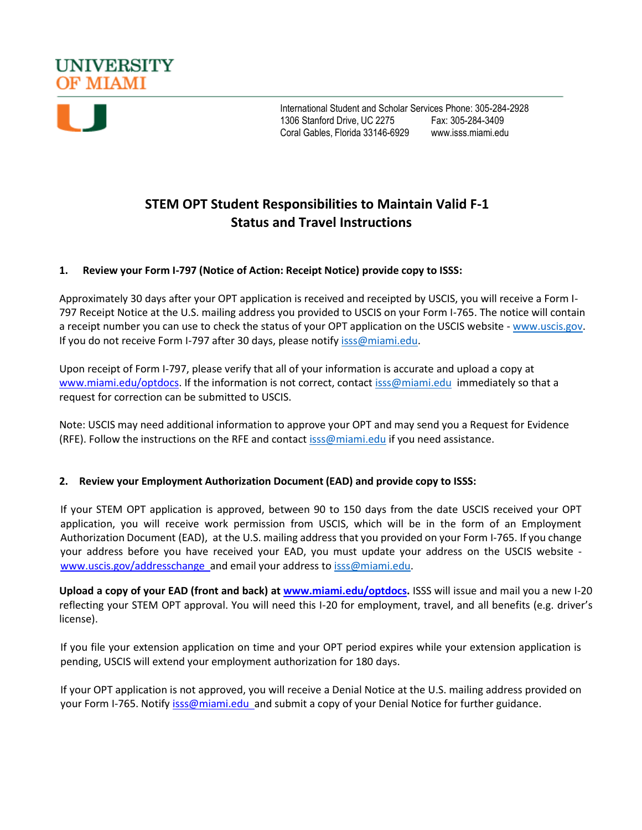



International Student and Scholar Services Phone: 305-284-2928 1306 Stanford Drive, UC 2275 Fax: 305-284-3409 Coral Gables, Florida 33146-6929 [www.isss.miami.edu](http://www.isss.miami.edu/)

# **STEM OPT Student Responsibilities to Maintain Valid F-1 Status and Travel Instructions**

## **1. Review your Form I-797 (Notice of Action: Receipt Notice) provide copy to ISSS:**

Approximately 30 days after your OPT application is received and receipted by USCIS, you will receive a Form I-797 Receipt Notice at the U.S. mailing address you provided to USCIS on your Form I-765. The notice will contain a receipt number you can use to check the status of your OPT application on the USCIS website - [www.uscis.gov.](http://www.uscis.gov/) If you do not receive Form I-797 after 30 days, please notif[y isss@miami.edu.](mailto:isss@miami.edu)

Upon receipt of Form I-797, please verify that all of your information is accurate and upload a copy at [www.miami.edu/optdocs.](http://www.miami.edu/optdocs) If the information is not correct, contact [isss@miami.edu](mailto:isss@miami.edu) immediately so that a request for correction can be submitted to USCIS.

Note: USCIS may need additional information to approve your OPT and may send you a Request for Evidence (RFE). Follow the instructions on the RFE and contact [isss@miami.edu](mailto:isss@miami.edu) if you need assistance.

#### **2. Review your Employment Authorization Document (EAD) and provide copy to ISSS:**

If your STEM OPT application is approved, between 90 to 150 days from the date USCIS received your OPT application, you will receive work permission from USCIS, which will be in the form of an Employment Authorization Document (EAD), at the U.S. mailing address that you provided on your Form I-765. If you change your address before you have received your EAD, you must update your address on the USCIS website [www.uscis.gov/addresschange a](http://www.uscis.gov/addresschange)nd email your address to [isss@miami.edu.](mailto:isss@miami.edu)

**Upload a copy of your EAD (front and back) at [www.miami.edu/optdocs.](http://www.miami.edu/optdocs)** ISSS will issue and mail you a new I-20 reflecting your STEM OPT approval. You will need this I-20 for employment, travel, and all benefits (e.g. driver's license).

If you file your extension application on time and your OPT period expires while your extension application is pending, USCIS will extend your employment authorization for 180 days.

If your OPT application is not approved, you will receive a Denial Notice at the U.S. mailing address provided on your Form I-765. Notify isss@miami.edu\_and submit a copy of your Denial Notice for further guidance.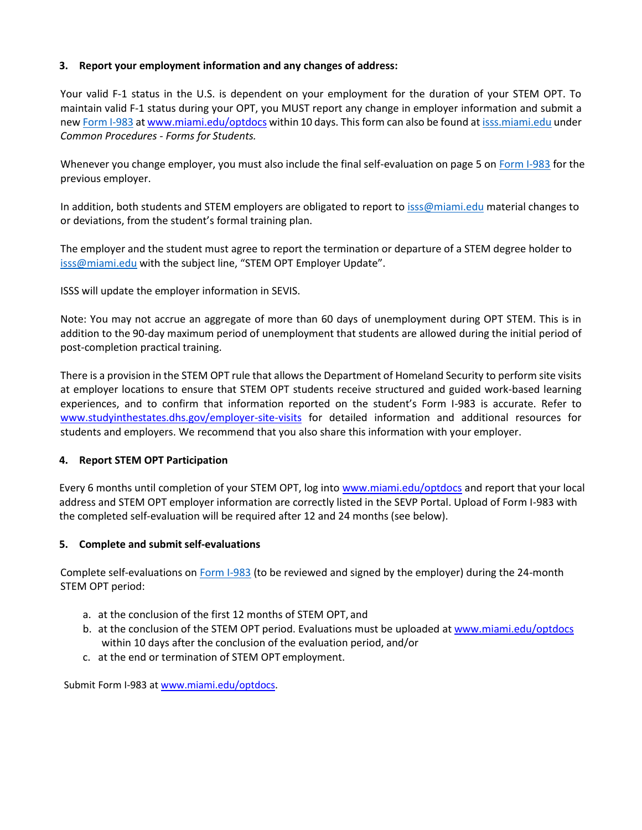# **3. Report your employment information and any changes of address:**

Your valid F-1 status in the U.S. is dependent on your employment for the duration of your STEM OPT. To maintain valid F-1 status during your OPT, you MUST report any change in employer information and submit a new [Form I-983](https://studyinthestates.dhs.gov/students-and-the-form-i-983) a[t www.miami.edu/optdocs](http://www.miami.edu/optdocs) within 10 days. This form can also be found a[t isss.miami.edu](file:///C:/Users/kristin.ponge/AppData/Local/Microsoft/Windows/INetCache/Content.Outlook/5LVAM8J4/isss.miami.edu) under *Common Procedures - Forms for Students.*

Whenever you change employer, you must also include the final self-evaluation on page 5 on [Form I-983](https://studyinthestates.dhs.gov/students-and-the-form-i-983) for the previous employer.

In addition, both students and STEM employers are obligated to report t[o isss@miami.edu](mailto:isss@miami.edu) material changes to or deviations, from the student's formal training plan.

The employer and the student must agree to report the termination or departure of a STEM degree holder to [isss@miami.edu](mailto:isss@miami.edu) with the subject line, "STEM OPT Employer Update".

ISSS will update the employer information in SEVIS.

Note: You may not accrue an aggregate of more than 60 days of unemployment during OPT STEM. This is in addition to the 90-day maximum period of unemployment that students are allowed during the initial period of post-completion practical training.

There is a provision in the STEM OPT rule that allows the Department of Homeland Security to perform site visits at employer locations to ensure that STEM OPT students receive structured and guided work-based learning experiences, and to confirm that information reported on the student's Form I-983 is accurate. Refer to [www.studyinthestates.dhs.gov/employer-site-visits](https://studyinthestates.dhs.gov/employer-site-visits) for detailed information and additional resources for students and employers. We recommend that you also share this information with your employer.

#### **4. Report STEM OPT Participation**

Every 6 months until completion of your STEM OPT, log into [www.miami.edu/optdocs](http://www.miami.edu/optdocs) and report that your local address and STEM OPT employer information are correctly listed in the SEVP Portal. Upload of Form I-983 with the completed self-evaluation will be required after 12 and 24 months (see below).

#### **5. Complete and submit self-evaluations**

Complete self-evaluations o[n Form I-983](https://studyinthestates.dhs.gov/students-and-the-form-i-983) (to be reviewed and signed by the employer) during the 24-month STEM OPT period:

- a. at the conclusion of the first 12 months of STEM OPT, and
- b. at the conclusion of the STEM OPT period. Evaluations must be uploaded a[t www.miami.edu/optdocs](http://www.miami.edu/optdocs) within 10 days after the conclusion of the evaluation period, and/or
- c. at the end or termination of STEM OPT employment.

Submit Form I-983 a[t www.miami.edu/optdocs.](http://www.miami.edu/optdocs)